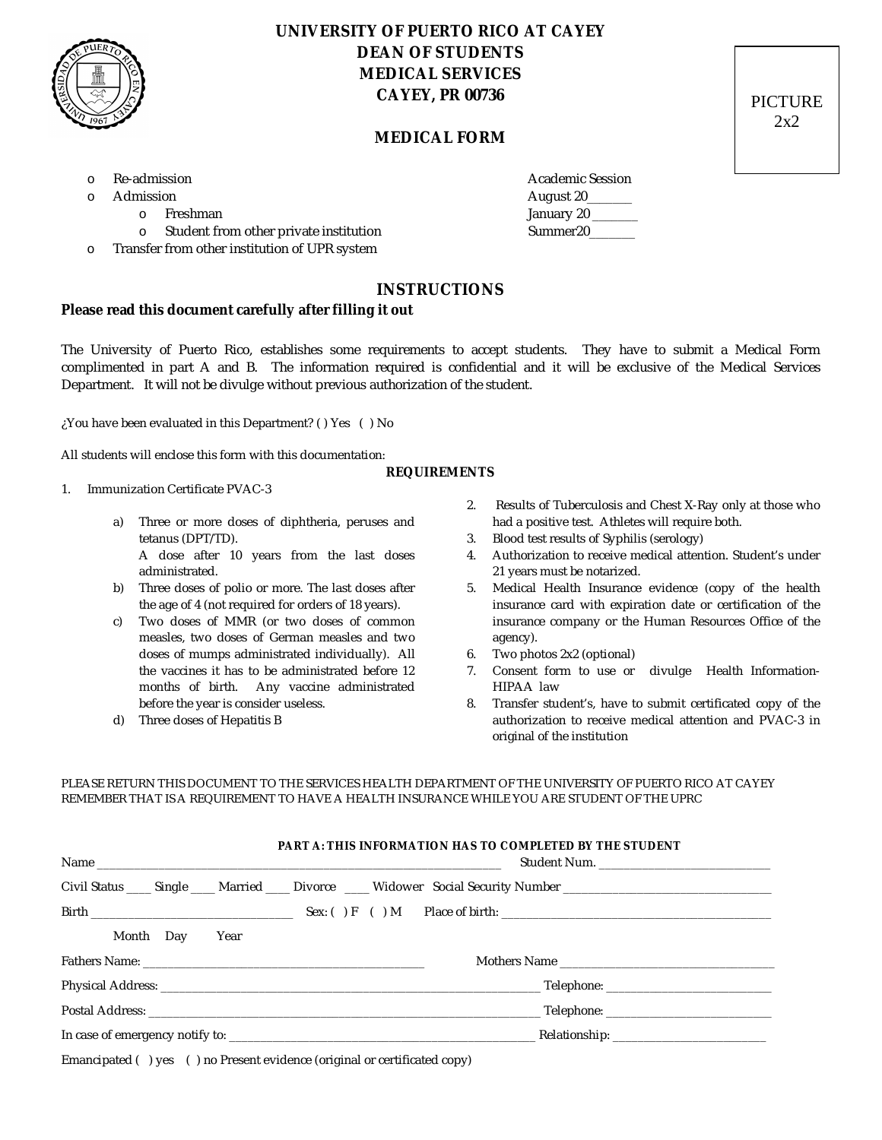

# **UNIVERSITY OF PUERTO RICO AT CAYEY DEAN OF STUDENTS CAYEY, PR 00736** PICTURE **MEDICAL SERVICES**

## **MEDICAL FORM**

- 
- Admission
	-
	- o Student from other private institution states and Summer20\_\_\_\_\_\_\_
- o Transfer from other institution of UPR system

# **INSTRUCTIONS**

### **Please read this document carefully after filling it out**

 The University of Puerto Rico, establishes some requirements to accept students. They have to submit a Medical Form complimented in part A and B. The information required is confidential and it will be exclusive of the Medical Services Department. It will not be divulge without previous authorization of the student.

**REQUIREMENTS** 

¿You have been evaluated in this Department? ( ) Yes ( ) No

All students will enclose this form with this documentation:

#### 1. Immunization Certificate PVAC-3

- a) Three or more doses of diphtheria, peruses and had a positive test. Athletes will require both. tetanus (DPT/TD). A dose after 10 years from the last doses tetanus (DPT/TD). 3. Blood test results of Syphilis (serology)
- b) Three doses of polio or more. The last doses after the age of 4 (not required for orders of 18 years).
- c) Two doses of MMR (or two doses of common measles, two doses of German measles and two agency). doses of mumps administrated individually). All 6. Two photos 2x2 (optional) the vaccines it has to be administrated before 12 months of birth. Any vaccine administrated HIPAA law before the year is consider useless.
- d) Three doses of Hepatitis B
- 2. Results of Tuberculosis and Chest X-Ray only at those who had a positive test. Athletes will require both.
- 
- A dose after 10 years from the last doses 4. Authorization to receive medical attention. Student's under administrated. 21 years must be notarized.
- b) Three doses of polio or more. The last doses after 5. Medical Health Insurance evidence (copy of the health the age of 4 (not required for orders of 18 years). insurance card with expiration date or certification of the c) Two doses of MMR (or two doses of common insurance company or the Human Resources Office of the
	- Two photos 2x2 (optional)
	- the vaccines it has to be administrated before 12  $\hskip1cm$  7. Consent form to use or  $\hskip1cm$  divulge  $\hskip1cm$  Health Information-HIPAA law
- before the year is consider useless. 8. Transfer student's, have to submit certificated copy of the d) Three doses of Hepatitis B authorization to receive medical attention and PVAC-3 in original of the institution

 PLEASE RETURN THIS DOCUMENT TO THE SERVICES HEALTH DEPARTMENT OF THE UNIVERSITY OF PUERTO RICO AT CAYEY REMEMBER THAT IS A REQUIREMENT TO HAVE A HEALTH INSURANCE WHILE YOU ARE STUDENT OF THE UPRC

|                                                                           | PART A: THIS INFORMATION HAS TO COMPLETED BY THE STUDENT                                                             |  |  |  |
|---------------------------------------------------------------------------|----------------------------------------------------------------------------------------------------------------------|--|--|--|
|                                                                           | Civil Status ____ Single ____ Married ____ Divorce ____ Widower Social Security Number _____________________________ |  |  |  |
|                                                                           |                                                                                                                      |  |  |  |
| Month Day Year                                                            |                                                                                                                      |  |  |  |
|                                                                           |                                                                                                                      |  |  |  |
|                                                                           |                                                                                                                      |  |  |  |
|                                                                           |                                                                                                                      |  |  |  |
|                                                                           |                                                                                                                      |  |  |  |
| Emancipated () yes () no Present evidence (original or certificated copy) |                                                                                                                      |  |  |  |

2x2

| o Re-admission |                                          | Academic Session |
|----------------|------------------------------------------|------------------|
| റ Admission    |                                          | August 20        |
|                | o Freshman                               | January 20       |
|                | o Student from other private institution | Summer20         |